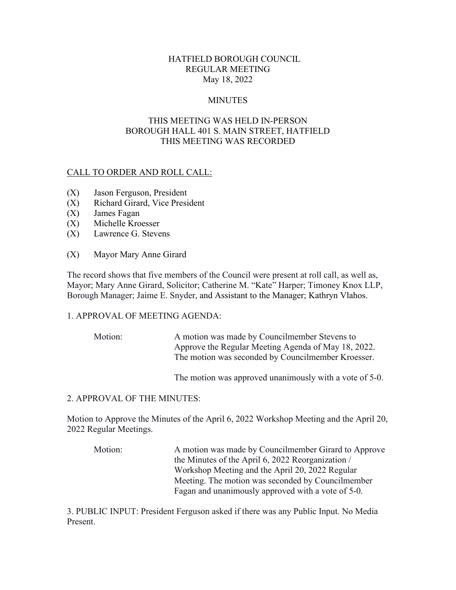## HATFIELD BOROUGH COUNCIL REGULAR MEETING May 18, 2022

## **MINUTES**

# THIS MEETING WAS HELD IN-PERSON BOROUGH HALL 401 S. MAIN STREET, HATFIELD THIS MEETING WAS RECORDED

## CALL TO ORDER AND ROLL CALL:

- (X) Jason Ferguson, President
- (X) Richard Girard, Vice President
- (X) James Fagan
- (X) Michelle Kroesser
- (X) Lawrence G. Stevens
- (X) Mayor Mary Anne Girard

The record shows that five members of the Council were present at roll call, as well as, Mayor; Mary Anne Girard, Solicitor; Catherine M. "Kate" Harper; Timoney Knox LLP, Borough Manager; Jaime E. Snyder, and Assistant to the Manager; Kathryn Vlahos.

#### 1. APPROVAL OF MEETING AGENDA:

Motion: A motion was made by Councilmember Stevens to Approve the Regular Meeting Agenda of May 18, 2022. The motion was seconded by Councilmember Kroesser.

The motion was approved unanimously with a vote of 5-0.

#### 2. APPROVAL OF THE MINUTES:

Motion to Approve the Minutes of the April 6, 2022 Workshop Meeting and the April 20, 2022 Regular Meetings.

Motion: A motion was made by Councilmember Girard to Approve the Minutes of the April 6, 2022 Reorganization / Workshop Meeting and the April 20, 2022 Regular Meeting. The motion was seconded by Councilmember Fagan and unanimously approved with a vote of 5-0.

3. PUBLIC INPUT: President Ferguson asked if there was any Public Input. No Media Present.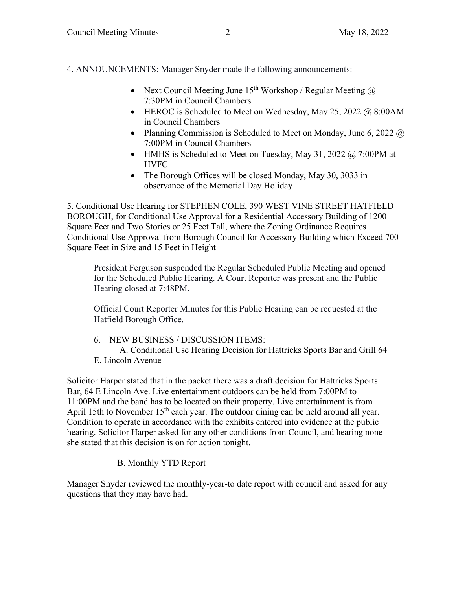4. ANNOUNCEMENTS: Manager Snyder made the following announcements:

- Next Council Meeting June 15<sup>th</sup> Workshop / Regular Meeting  $\omega$ 7:30PM in Council Chambers
- $\bullet$  HEROC is Scheduled to Meet on Wednesday, May 25, 2022 @ 8:00AM in Council Chambers
- Planning Commission is Scheduled to Meet on Monday, June 6, 2022  $\omega$ 7:00PM in Council Chambers
- HMHS is Scheduled to Meet on Tuesday, May 31, 2022  $\omega$ , 7:00PM at HVFC
- The Borough Offices will be closed Monday, May 30, 3033 in observance of the Memorial Day Holiday

5. Conditional Use Hearing for STEPHEN COLE, 390 WEST VINE STREET HATFIELD BOROUGH, for Conditional Use Approval for a Residential Accessory Building of 1200 Square Feet and Two Stories or 25 Feet Tall, where the Zoning Ordinance Requires Conditional Use Approval from Borough Council for Accessory Building which Exceed 700 Square Feet in Size and 15 Feet in Height

President Ferguson suspended the Regular Scheduled Public Meeting and opened for the Scheduled Public Hearing. A Court Reporter was present and the Public Hearing closed at 7:48PM.

Official Court Reporter Minutes for this Public Hearing can be requested at the Hatfield Borough Office.

6. NEW BUSINESS / DISCUSSION ITEMS:

 A. Conditional Use Hearing Decision for Hattricks Sports Bar and Grill 64 E. Lincoln Avenue

Solicitor Harper stated that in the packet there was a draft decision for Hattricks Sports Bar, 64 E Lincoln Ave. Live entertainment outdoors can be held from 7:00PM to 11:00PM and the band has to be located on their property. Live entertainment is from April 15th to November  $15<sup>th</sup>$  each year. The outdoor dining can be held around all year. Condition to operate in accordance with the exhibits entered into evidence at the public hearing. Solicitor Harper asked for any other conditions from Council, and hearing none she stated that this decision is on for action tonight.

# B. Monthly YTD Report

Manager Snyder reviewed the monthly-year-to date report with council and asked for any questions that they may have had.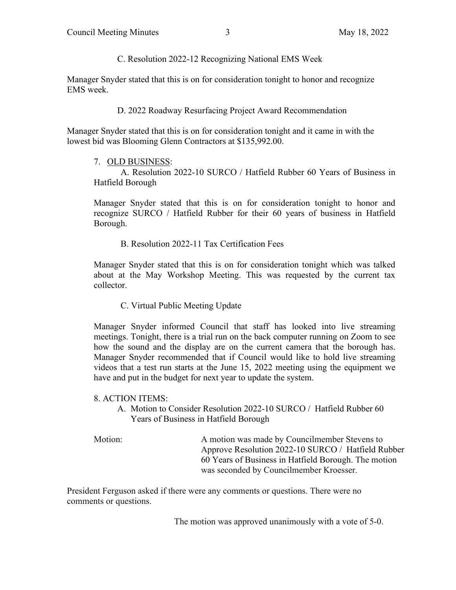C. Resolution 2022-12 Recognizing National EMS Week

Manager Snyder stated that this is on for consideration tonight to honor and recognize EMS week.

D. 2022 Roadway Resurfacing Project Award Recommendation

Manager Snyder stated that this is on for consideration tonight and it came in with the lowest bid was Blooming Glenn Contractors at \$135,992.00.

7. OLD BUSINESS:

 A. Resolution 2022-10 SURCO / Hatfield Rubber 60 Years of Business in Hatfield Borough

Manager Snyder stated that this is on for consideration tonight to honor and recognize SURCO / Hatfield Rubber for their 60 years of business in Hatfield Borough.

B. Resolution 2022-11 Tax Certification Fees

Manager Snyder stated that this is on for consideration tonight which was talked about at the May Workshop Meeting. This was requested by the current tax collector.

C. Virtual Public Meeting Update

Manager Snyder informed Council that staff has looked into live streaming meetings. Tonight, there is a trial run on the back computer running on Zoom to see how the sound and the display are on the current camera that the borough has. Manager Snyder recommended that if Council would like to hold live streaming videos that a test run starts at the June 15, 2022 meeting using the equipment we have and put in the budget for next year to update the system.

- 8. ACTION ITEMS:
	- A. Motion to Consider Resolution 2022-10 SURCO / Hatfield Rubber 60 Years of Business in Hatfield Borough

Motion: A motion was made by Councilmember Stevens to Approve Resolution 2022-10 SURCO / Hatfield Rubber 60 Years of Business in Hatfield Borough. The motion was seconded by Councilmember Kroesser.

President Ferguson asked if there were any comments or questions. There were no comments or questions.

The motion was approved unanimously with a vote of 5-0.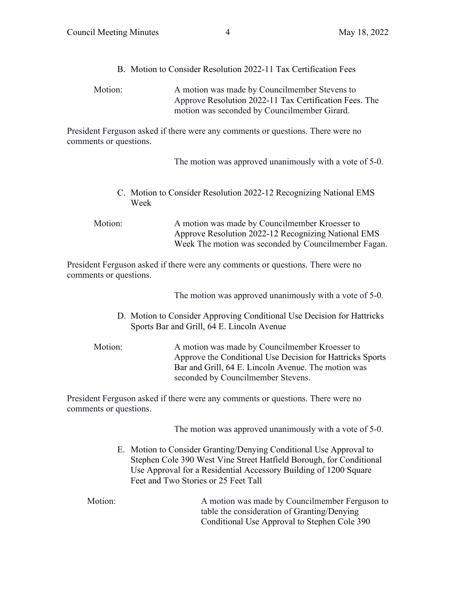B. Motion to Consider Resolution 2022-11 Tax Certification Fees

| Motion: | A motion was made by Councilmember Stevens to          |
|---------|--------------------------------------------------------|
|         | Approve Resolution 2022-11 Tax Certification Fees. The |
|         | motion was seconded by Councilmember Girard.           |

President Ferguson asked if there were any comments or questions. There were no comments or questions.

The motion was approved unanimously with a vote of 5-0.

C. Motion to Consider Resolution 2022-12 Recognizing National EMS Week

Motion: A motion was made by Councilmember Kroesser to Approve Resolution 2022-12 Recognizing National EMS Week The motion was seconded by Councilmember Fagan.

President Ferguson asked if there were any comments or questions. There were no comments or questions.

The motion was approved unanimously with a vote of 5-0.

- D. Motion to Consider Approving Conditional Use Decision for Hattricks Sports Bar and Grill, 64 E. Lincoln Avenue
- Motion: A motion was made by Councilmember Kroesser to Approve the Conditional Use Decision for Hattricks Sports Bar and Grill, 64 E. Lincoln Avenue. The motion was seconded by Councilmember Stevens.

President Ferguson asked if there were any comments or questions. There were no comments or questions.

The motion was approved unanimously with a vote of 5-0.

E. Motion to Consider Granting/Denying Conditional Use Approval to Stephen Cole 390 West Vine Street Hatfield Borough, for Conditional Use Approval for a Residential Accessory Building of 1200 Square Feet and Two Stories or 25 Feet Tall

Motion: A motion was made by Councilmember Ferguson to table the consideration of Granting/Denying Conditional Use Approval to Stephen Cole 390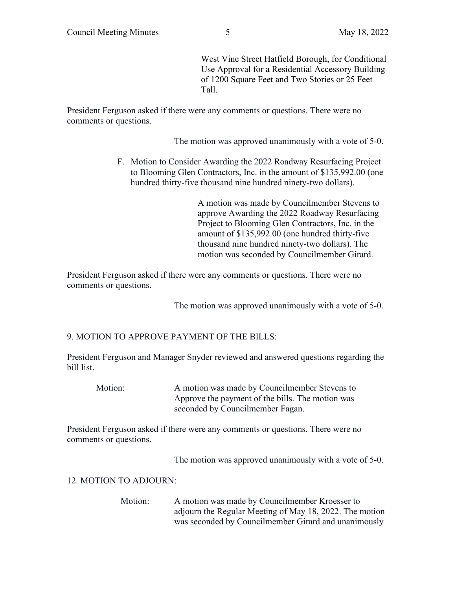West Vine Street Hatfield Borough, for Conditional Use Approval for a Residential Accessory Building of 1200 Square Feet and Two Stories or 25 Feet Tall.

President Ferguson asked if there were any comments or questions. There were no comments or questions.

The motion was approved unanimously with a vote of 5-0.

F. Motion to Consider Awarding the 2022 Roadway Resurfacing Project to Blooming Glen Contractors, Inc. in the amount of \$135,992.00 (one hundred thirty-five thousand nine hundred ninety-two dollars).

> A motion was made by Councilmember Stevens to approve Awarding the 2022 Roadway Resurfacing Project to Blooming Glen Contractors, Inc. in the amount of \$135,992.00 (one hundred thirty-five thousand nine hundred ninety-two dollars). The motion was seconded by Councilmember Girard.

President Ferguson asked if there were any comments or questions. There were no comments or questions.

The motion was approved unanimously with a vote of 5-0.

# 9. MOTION TO APPROVE PAYMENT OF THE BILLS:

President Ferguson and Manager Snyder reviewed and answered questions regarding the bill list.

Motion: A motion was made by Councilmember Stevens to Approve the payment of the bills. The motion was seconded by Councilmember Fagan.

President Ferguson asked if there were any comments or questions. There were no comments or questions.

The motion was approved unanimously with a vote of 5-0.

#### 12. MOTION TO ADJOURN:

Motion: A motion was made by Councilmember Kroesser to adjourn the Regular Meeting of May 18, 2022. The motion was seconded by Councilmember Girard and unanimously